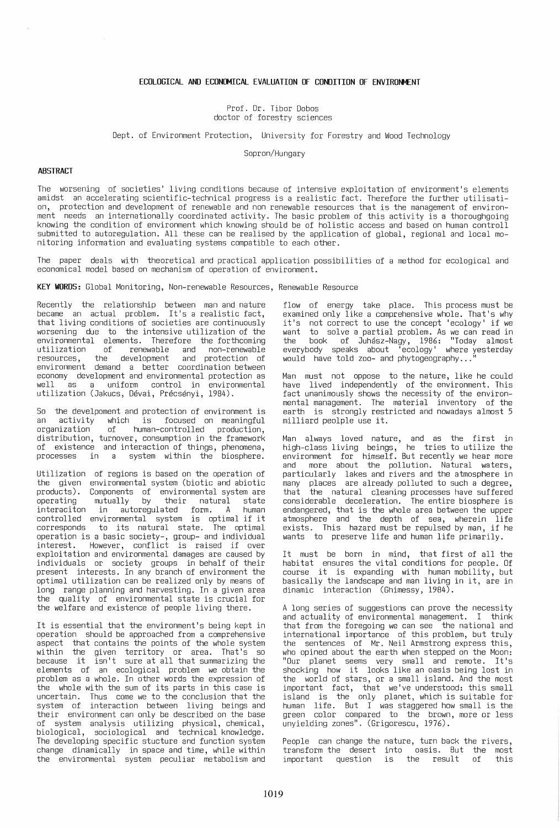## **ECOLOGICAL AND ECONOMICAL EVALUATION OF CONDITION OF ENVIRONMENT**

Prof. Dr. Tibor Dobos doctor of forestry sciences

Dept. of Environment Protection, University for Forestry and Wood Technology

50pron/Hungary

## **ABSTRACT**

The worsening of societies' living conditions because of intensive exploitation of environment's elements amidst an accelerating scientific-technical progress is a realistic fact. Therefore the further utilisation, protection and development of renewable and non renewable resources that is the management of environment needs an internationally coordinated activity. The basic problem of this activity is a thoroughgoing knowing the condition of environment which knowing should be of holistic access and based on human controll submitted to autoregulation. All these can be realised by the application of global, regional and local mo-<br>nitoring information and evaluating systems compatible to each other.

The paper deals with theoretical and practical application possibilities of a method for ecological and economical model based on mechanism of operation of environment.

**KEY WORDS:** Global Monitoring, Non-renewable Resources, Renewable Resource

Recently the relationship between man and nature became an actual problem. It's a realistic fact, that living conditions of societies are continuously worsening due to the intensive utilization of the environmental elements. Therefore the forthcoming utilization of renewable and non-renewable resources, the development and protection of environment demand a better coordination between<br>economy development and environmental protection as economy development and environmental protection as<br>well as a uniform control in environmental utilization (Jakucs, Dévai, Précsényi, 1984).

50 the develpoment and protection of environment is an activity which is focused on meaningful of human-controlled production, distribution, turnover, consumption in the framework of existence and interaction of things, phenomena, processes in a system within the biosphere.

Utilization of regions is based on the operation of the given environmental system (biotic and abiotic products). Components of environmental-system-are<br>operating mutually by their natural state interaciton in autoregulated form. A human controlled environmental system is optimal if it corresponds to its natural state. The optimal operation is a basic society-, group- and individual interest. However, conflict is raised if over exploitation and environmental damages are caused by exploitation and environmental damages are caused by<br>individuals or society groups in behalf of their present interests. In any branch of environment the proso...<br>optimal utilization can be realized only by means of<br>long range planning and harvesting. In a given area the quality of environmental state is crucial for the welfare and existence of people living there.

It is essential that the environment's being kept in operation should be approached from a comprehensive aspect that contains the points of the whole system within the given territory or area. That's so because it isn't sure at all that summarizing the elements of an ecological problem we obtain the problem as a whole. In other words the expression of the whole with the sum of its parts in this case is uncertain. Thus come we to the conclusion that the system of interaction between living beings and their environment can only be described on the base of system analysis utilizing physical, chemical, biological, sociological and technical knowledge. The developing specific stucture and function system change dinamically in space and time, while within the environmental system peculiar metabolism and

flow of energy take place. This process must be examined only like a comprehensive whole. That's why<br>it's not correct to use the concept 'ecology' if we it's not correct to use the concept 'ecology' if we want to solve a partial problem. As we can read in the book of Juhasz-Nagy, 1986: "Today almost everybody speaks about 'ecology' where yesterday would have told zoo- and phytogeography...

Man must not oppose to the nature, like he could have lived independently of the environment. This fact unanimously shows the necessity of the environmental management. The material inventory of the earth is strongly restricted and nowadays almost 5 milliard peolple use it.

Man always loved nature, and as the first in high-class living beings,  $\acute{ }$  he $\;$  tries to utilize the environment for the pollution. Natural waters, particularly lakes and rivers and the atmosphere in many places are already polluted to such a degree, that the natural cleaning processes have suffered considerable deceleration. The entire biosphere is endangered, that is the whole area between the upper atmosphere and the depth of sea, wherein life exists. This hazard must be repulsed by man, if he wants to preserve life and human life primarily.

It must be born in mind, that first of all the course it is expanding with human mobility, but basically the landscape and man living in it, are in dinamic interaction (Ghimessy, 1984).

A long series of suggestions can prove the necessity and actuality of environmental management. I think that from the foregoing we can see the national and international importance of this problem, but truly the sentences of Mr. Neil Armstrong express this, who opined about the earth when stepped on the Moon: "Our planet seems very small and remote. It's shocking how it looks like an oasis being lost in the world of stars, or a small island. And the most important fact, that we've understood: this small island is the only planet, which is suitable for human life. But I was staggered how small is the green color compared to the brown, more or less unyielding zones". (Grigorescu, 1976).

People can change the nature, turn back the rivers, transform the desert into oasis. But the most important question is the result of this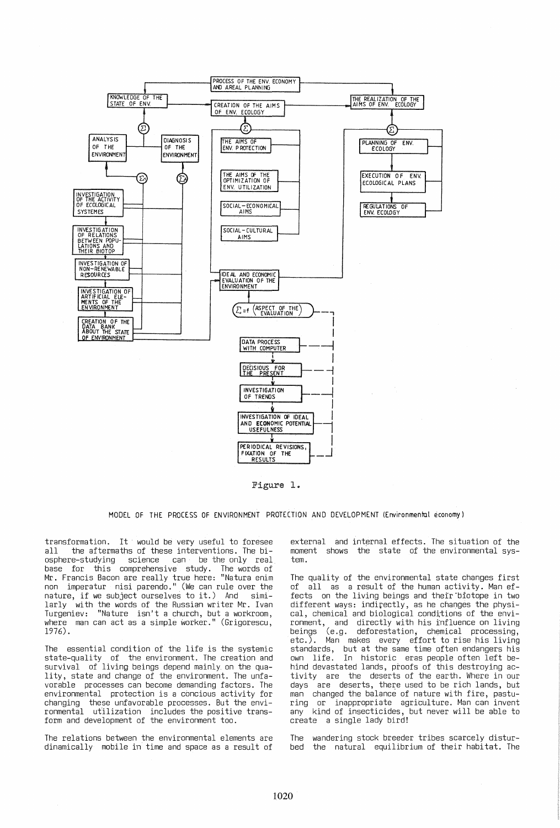

Figure 1.

MODEL OF THE PROCESS OF ENVIRONMENT PROTECTION AND DEVELOPMENT (Environmental economy)

transformation. It would be very useful to foresee all the aftermaths of these interventions. The biosphere-studying science can be the only real base for this comprehensive study. The words of<br>Mr. Francis Bacon are really true here: "Natura enim<br>non imperatur nisi parendo." (We can rule over the nature, if we subject ourselves to it.) And similarly with the words of the Russian writer Mr. Ivan Turgeniev: "Nature isn't a church, but a workroom, where man can act as a simple worker." (Grigorescu, 1976).

The essential condition of the life is the systemic state-quality of the environment. The creation and survival of living beings depend mainly on the quality, state and change of the environment. The unfavorable processes can become demanding factors. The environmental protection is a concious activity for changing these unfavorable processes. But the environmental utilization includes the positive trans-<br>form and development of the environment too.

The relations between the environmental elements are dinamically mobile in time and space as a result of

external and internal effects. The situation of the moment shows the state of the environmental system.

The quality of the environmental state changes first of all as a result of the human activity. Man effects on the living beings and theĭr biotope in two different ways: indirectly, as he changes the physical, chemical and biological conditions of the envicar, chemicar and biological conditions of the environment, and directly with his influence on living<br>beings (e.g. deforestation, chemical processing,<br>etc.). Man makes every effort to rise his living standards, but at the same time often endangers his<br>own life. In historic eras people often left behind devastated lands, proofs of this destroying activity are the deserts of the earth. Where in our days are deserts, there used to be rich lands, but<br>man changed the balance of nature with fire, pasturing or inappropriate agriculture. Man can invent any kind of insecticides, but never will be able to<br>create a single lady bird!

The wandering stock breeder tribes scarcely disturbed the natural equilibrium of their habitat. The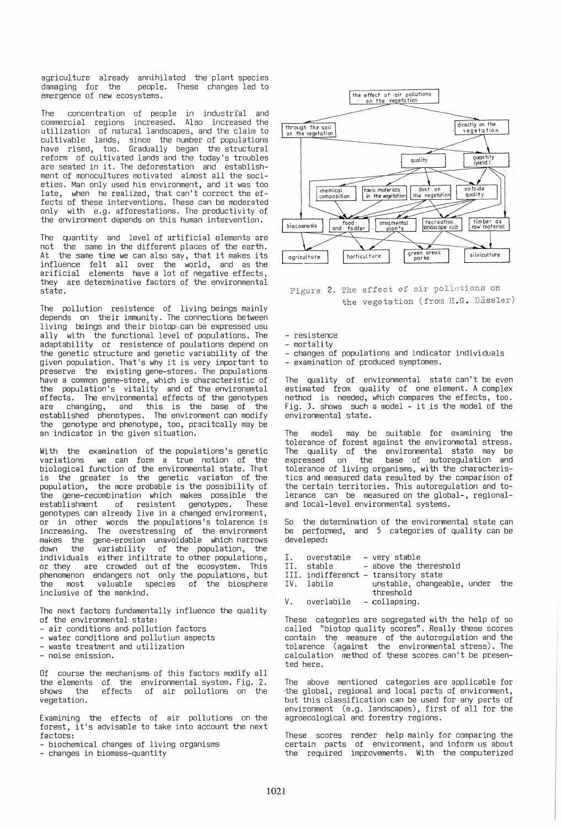agriculture already annihilated the plant species<br>damaging for the people. These changes led to people. These changes led to emergence of new ecosystems.

The concentration of people in industrial and commercial regions increased. Also increased the utilization of natural landscapes, and the claim to cultivable lands, since the number of populations have rised, too. Gradually began the structural reform of cultivated lands and the today's troubles are seated in it. The deforestation and establishment of monocultures motivated almost all the societies. Man only used his environment, and it was too late, when he realized, that can't correct the effects of these interventions. These can be moderated only with e.g. afforestations. The productivity of the environment depends on this human intervention.

The quantity and level of artificial elements are not the same in the different places of the earth. At the same time we can also say, that it makes its<br>influence felt all over the world, and as the influence felt all over the world, and as the arificial elements have a lot of negative effects, they are determinative factors of the environmental state.

The pollution resistence of living beings mainly depends on their immunity. The connections between living beings and their biotop",can be expressed usu ally with the functional level of populations. The adaptability or resistence of poulations depend on the genetic structure and genetic variability of the given population. That's why it is very important to preserve the existing gene-stores. The populations have a common gene-store, which is characteristic of the population's vitality and of the ,environemtal effects. the environmental effects of the genotypes are changing, and this is the base of. the established phenotypes. The environment can modify the genotype and phenotype, too, pracitcally may be an indicator in the given situation.

With the examination of the populations's genetic variations we can form a true notion of the biological function of the environmental state. That is the greater is the genetic veriaton of the population, the more probable is the possibility of the gene-recombination which makes possible the establishment of resistent genotypes. genotypes can already live in a changed environment, or in other words the populations's tolarence is increasing. The overstressing of the environment makes the gene-erosion unavoidable which narrows down the variability of the population, the individuals either infiltrate to other populations, or they are crowded out of the ecosystem. This phenomenon endangers not only the populations, but the most valuable species of the biosphere inclusive of the mankind.

The next factors fundamentally influence the quality of the environmental state:

- 
- air conditions and pollution factors<br>- water conditions and pollutiun aspects<br>- waste treatment and utilization<br>- noise emission.
- 
- 

Of course the mechanisms of this factors modify all the elements of the environmental system. Fig. 2. shows the effects of air pollutions on the vegetation.

Examining the effects of air pollutions on the forest, it's advisable to take into account the next factors:

- biochemical changes of living organisms<br>- changes in biomass-quantity



Figure 2. The effect of air pollutions on the vegetation (from H.G. Dässler)

- resistence
- mortality
- changes of populations and indicator individuals examination of produced symptomes.
- 

The quality of environmental state can't be even estimated from quality of one element. A complex nethod is needed, which compares the effects, too. Fig. 3. shows such a mo'del - it is the model of the environmental state.

The model may be suitable for examining the tolerance of forest against the environmetal stress. The quality of the environmental state may be expressed on the base of autoregulation and tolerance of living organisms, with the characteristics and measured data resulted by' the comparison of the certain territories. This autoregulation and tolerance can be measured on the global-, regionaland local-level environmental syqtems.

So the determination of the environmental state can be performed, and 5 categories of quality can be develeped:

- I. overstable very stable<br>II. stable above the th
- above the thereshold
- III. indifferenct transitory state
- IV. labile unstable, changeable, under the threshold V. overlabile - collapsing.
- 

These categories are segregated with the help of so called These categories are segregated with the help of so<br>called "biotop quality scores"; Really these scores<br>contain the measure of the autoregulation and the contain the measure of the autoregulation and the tolarence (against the environmental stress). The calculation method of these scores can't be presented here.

The above mentioned categories are applicable for ,the global, regional and local parts of environment, but this classification can be used for any parts of environment (e.g. landscapes), first of all for the agroecological and forestry regions.

These scores<br>certain parts the required These scores render help mainly for comparing the of environment, and inform us about improvements. With the computerized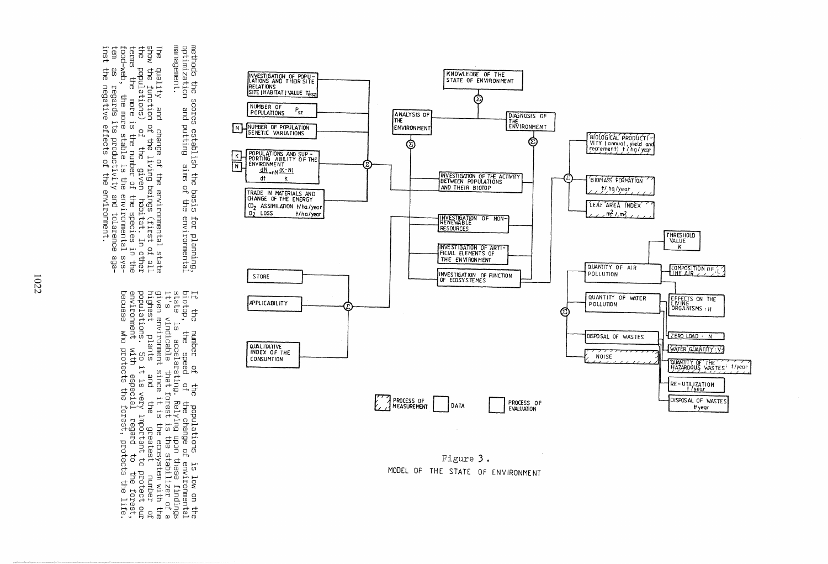methods the s<br>optimization The<br>Show<br>The management. scores<br>and i s establish the basis<br>putting aims of the for planning,<br>environmental

inst terms tem. quality and change of the environmental state<br>the function of the living beings (first of all<br>populations) of the given habitat. In other<br>s the more is the number of the species in the<br>web, the more stable is the environm

If the number of the populations is low on the<br>biotop, the speed of the change of environmental<br>state is accelarating. Relying upon these findings<br>it's vindicable that forest is the stabilizer of a<br>given environment since



Figure 3. MODEL OF THE STATE OF ENVIRONMENT